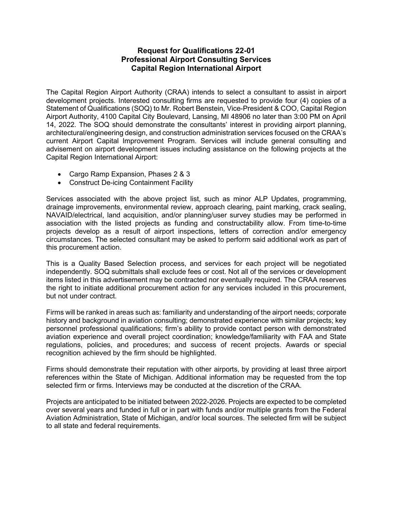## Request for Qualifications 22-01 Professional Airport Consulting Services Capital Region International Airport

The Capital Region Airport Authority (CRAA) intends to select a consultant to assist in airport development projects. Interested consulting firms are requested to provide four (4) copies of a Statement of Qualifications (SOQ) to Mr. Robert Benstein, Vice-President & COO, Capital Region Airport Authority, 4100 Capital City Boulevard, Lansing, MI 48906 no later than 3:00 PM on April 14, 2022. The SOQ should demonstrate the consultants' interest in providing airport planning, architectural/engineering design, and construction administration services focused on the CRAA's current Airport Capital Improvement Program. Services will include general consulting and advisement on airport development issues including assistance on the following projects at the Capital Region International Airport:

- Cargo Ramp Expansion, Phases 2 & 3
- Construct De-icing Containment Facility

Services associated with the above project list, such as minor ALP Updates, programming, drainage improvements, environmental review, approach clearing, paint marking, crack sealing, NAVAID/electrical, land acquisition, and/or planning/user survey studies may be performed in association with the listed projects as funding and constructability allow. From time-to-time projects develop as a result of airport inspections, letters of correction and/or emergency circumstances. The selected consultant may be asked to perform said additional work as part of this procurement action.

This is a Quality Based Selection process, and services for each project will be negotiated independently. SOQ submittals shall exclude fees or cost. Not all of the services or development items listed in this advertisement may be contracted nor eventually required. The CRAA reserves the right to initiate additional procurement action for any services included in this procurement, but not under contract.

Firms will be ranked in areas such as: familiarity and understanding of the airport needs; corporate history and background in aviation consulting; demonstrated experience with similar projects; key personnel professional qualifications; firm's ability to provide contact person with demonstrated aviation experience and overall project coordination; knowledge/familiarity with FAA and State regulations, policies, and procedures; and success of recent projects. Awards or special recognition achieved by the firm should be highlighted.

Firms should demonstrate their reputation with other airports, by providing at least three airport references within the State of Michigan. Additional information may be requested from the top selected firm or firms. Interviews may be conducted at the discretion of the CRAA.

Projects are anticipated to be initiated between 2022-2026. Projects are expected to be completed over several years and funded in full or in part with funds and/or multiple grants from the Federal Aviation Administration, State of Michigan, and/or local sources. The selected firm will be subject to all state and federal requirements.